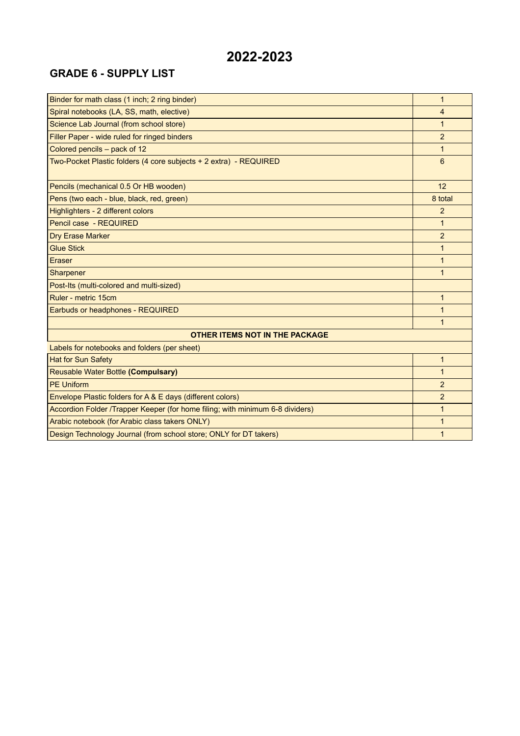#### **GRADE 6 - SUPPLY LIST**

| Binder for math class (1 inch; 2 ring binder)                                 | 1              |  |
|-------------------------------------------------------------------------------|----------------|--|
| Spiral notebooks (LA, SS, math, elective)                                     | $\overline{4}$ |  |
| Science Lab Journal (from school store)                                       | 1              |  |
| Filler Paper - wide ruled for ringed binders                                  | $\overline{2}$ |  |
| Colored pencils - pack of 12                                                  | $\mathbf{1}$   |  |
| Two-Pocket Plastic folders (4 core subjects + 2 extra) - REQUIRED             | 6              |  |
| Pencils (mechanical 0.5 Or HB wooden)                                         | 12             |  |
| Pens (two each - blue, black, red, green)                                     | 8 total        |  |
| Highlighters - 2 different colors                                             | $\overline{2}$ |  |
| Pencil case - REQUIRED                                                        | $\mathbf{1}$   |  |
| <b>Dry Erase Marker</b>                                                       | $\overline{2}$ |  |
| <b>Glue Stick</b>                                                             | 1              |  |
| Eraser                                                                        | $\mathbf{1}$   |  |
| Sharpener                                                                     | $\mathbf{1}$   |  |
| Post-Its (multi-colored and multi-sized)                                      |                |  |
| Ruler - metric 15cm                                                           | $\mathbf{1}$   |  |
| Earbuds or headphones - REQUIRED                                              | 1              |  |
|                                                                               | 1              |  |
| <b>OTHER ITEMS NOT IN THE PACKAGE</b>                                         |                |  |
| Labels for notebooks and folders (per sheet)                                  |                |  |
| <b>Hat for Sun Safety</b>                                                     | $\mathbf{1}$   |  |
| Reusable Water Bottle (Compulsary)                                            | $\mathbf{1}$   |  |
| <b>PE Uniform</b>                                                             | $\overline{2}$ |  |
| Envelope Plastic folders for A & E days (different colors)                    | $\overline{2}$ |  |
| Accordion Folder /Trapper Keeper (for home filing; with minimum 6-8 dividers) | $\mathbf{1}$   |  |
| Arabic notebook (for Arabic class takers ONLY)                                | 1              |  |
| Design Technology Journal (from school store; ONLY for DT takers)             | 1              |  |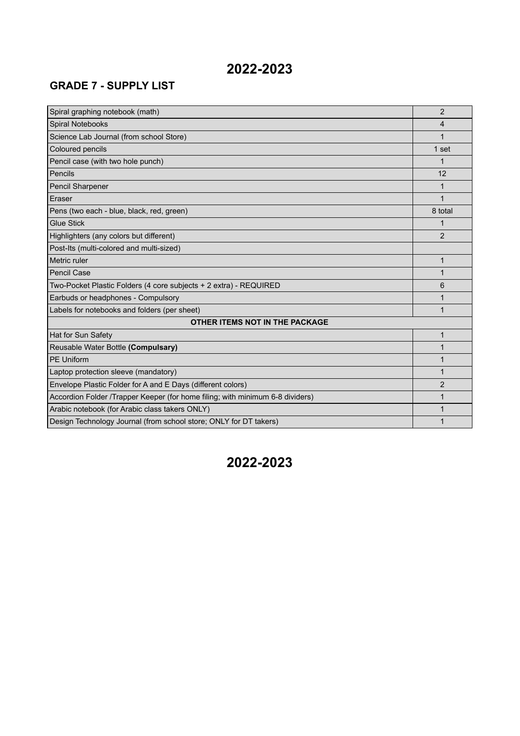# **2022-2023**

### **GRADE 7 - SUPPLY LIST**

| Spiral graphing notebook (math)                                               | $\overline{2}$ |  |
|-------------------------------------------------------------------------------|----------------|--|
| Spiral Notebooks                                                              | 4              |  |
| Science Lab Journal (from school Store)                                       | 1              |  |
| Coloured pencils                                                              | 1 set          |  |
| Pencil case (with two hole punch)                                             | 1              |  |
| Pencils                                                                       | 12             |  |
| Pencil Sharpener                                                              | 1              |  |
| Eraser                                                                        | 1              |  |
| Pens (two each - blue, black, red, green)                                     | 8 total        |  |
| <b>Glue Stick</b>                                                             |                |  |
| Highlighters (any colors but different)                                       | $\overline{2}$ |  |
| Post-Its (multi-colored and multi-sized)                                      |                |  |
| Metric ruler                                                                  | $\mathbf{1}$   |  |
| <b>Pencil Case</b>                                                            | 1              |  |
| Two-Pocket Plastic Folders (4 core subjects + 2 extra) - REQUIRED             | 6              |  |
| Earbuds or headphones - Compulsory                                            |                |  |
| Labels for notebooks and folders (per sheet)                                  | 1              |  |
| OTHER ITEMS NOT IN THE PACKAGE                                                |                |  |
| Hat for Sun Safety                                                            | 1              |  |
| Reusable Water Bottle (Compulsary)                                            | 1              |  |
| <b>PE Uniform</b>                                                             |                |  |
| Laptop protection sleeve (mandatory)                                          |                |  |
| Envelope Plastic Folder for A and E Days (different colors)                   | 2              |  |
| Accordion Folder /Trapper Keeper (for home filing; with minimum 6-8 dividers) | 1              |  |
| Arabic notebook (for Arabic class takers ONLY)                                | 1              |  |
| Design Technology Journal (from school store; ONLY for DT takers)             | 1              |  |

## **2022-2023**